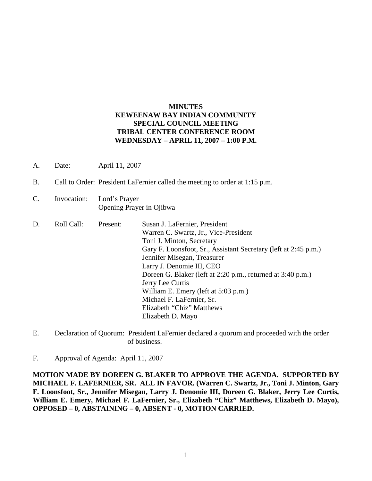## **MINUTES KEWEENAW BAY INDIAN COMMUNITY SPECIAL COUNCIL MEETING TRIBAL CENTER CONFERENCE ROOM WEDNESDAY – APRIL 11, 2007 – 1:00 P.M.**

- A. Date: April 11, 2007
- B. Call to Order: President LaFernier called the meeting to order at 1:15 p.m.
- C. Invocation: Lord's Prayer Opening Prayer in Ojibwa

| D. | Roll Call: | Present: | Susan J. LaFernier, President                                   |
|----|------------|----------|-----------------------------------------------------------------|
|    |            |          | Warren C. Swartz, Jr., Vice-President                           |
|    |            |          | Toni J. Minton, Secretary                                       |
|    |            |          | Gary F. Loonsfoot, Sr., Assistant Secretary (left at 2:45 p.m.) |
|    |            |          | Jennifer Misegan, Treasurer                                     |
|    |            |          | Larry J. Denomie III, CEO                                       |
|    |            |          | Doreen G. Blaker (left at 2:20 p.m., returned at 3:40 p.m.)     |
|    |            |          | Jerry Lee Curtis                                                |
|    |            |          | William E. Emery (left at 5:03 p.m.)                            |
|    |            |          | Michael F. LaFernier, Sr.                                       |
|    |            |          | Elizabeth "Chiz" Matthews                                       |
|    |            |          | Elizabeth D. Mayo                                               |

E. Declaration of Quorum: President LaFernier declared a quorum and proceeded with the order of business.

F. Approval of Agenda: April 11, 2007

**MOTION MADE BY DOREEN G. BLAKER TO APPROVE THE AGENDA. SUPPORTED BY MICHAEL F. LAFERNIER, SR. ALL IN FAVOR. (Warren C. Swartz, Jr., Toni J. Minton, Gary F. Loonsfoot, Sr., Jennifer Misegan, Larry J. Denomie III, Doreen G. Blaker, Jerry Lee Curtis, William E. Emery, Michael F. LaFernier, Sr., Elizabeth "Chiz" Matthews, Elizabeth D. Mayo), OPPOSED – 0, ABSTAINING – 0, ABSENT - 0, MOTION CARRIED.**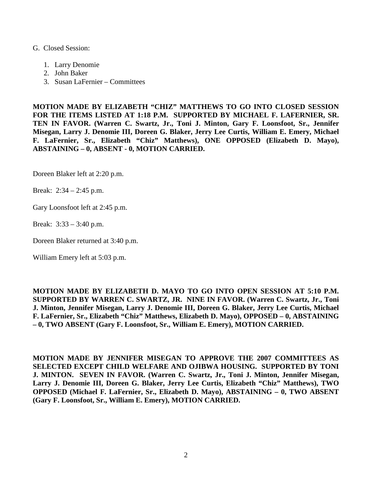## G. Closed Session:

- 1. Larry Denomie
- 2. John Baker
- 3. Susan LaFernier Committees

**MOTION MADE BY ELIZABETH "CHIZ" MATTHEWS TO GO INTO CLOSED SESSION FOR THE ITEMS LISTED AT 1:18 P.M. SUPPORTED BY MICHAEL F. LAFERNIER, SR. TEN IN FAVOR. (Warren C. Swartz, Jr., Toni J. Minton, Gary F. Loonsfoot, Sr., Jennifer Misegan, Larry J. Denomie III, Doreen G. Blaker, Jerry Lee Curtis, William E. Emery, Michael F. LaFernier, Sr., Elizabeth "Chiz" Matthews), ONE OPPOSED (Elizabeth D. Mayo), ABSTAINING – 0, ABSENT - 0, MOTION CARRIED.**

Doreen Blaker left at 2:20 p.m.

Break: 2:34 – 2:45 p.m.

Gary Loonsfoot left at 2:45 p.m.

Break: 3:33 – 3:40 p.m.

Doreen Blaker returned at 3:40 p.m.

William Emery left at 5:03 p.m.

**MOTION MADE BY ELIZABETH D. MAYO TO GO INTO OPEN SESSION AT 5:10 P.M. SUPPORTED BY WARREN C. SWARTZ, JR. NINE IN FAVOR. (Warren C. Swartz, Jr., Toni J. Minton, Jennifer Misegan, Larry J. Denomie III, Doreen G. Blaker, Jerry Lee Curtis, Michael F. LaFernier, Sr., Elizabeth "Chiz" Matthews, Elizabeth D. Mayo), OPPOSED – 0, ABSTAINING – 0, TWO ABSENT (Gary F. Loonsfoot, Sr., William E. Emery), MOTION CARRIED.**

**MOTION MADE BY JENNIFER MISEGAN TO APPROVE THE 2007 COMMITTEES AS SELECTED EXCEPT CHILD WELFARE AND OJIBWA HOUSING. SUPPORTED BY TONI J. MINTON. SEVEN IN FAVOR. (Warren C. Swartz, Jr., Toni J. Minton, Jennifer Misegan, Larry J. Denomie III, Doreen G. Blaker, Jerry Lee Curtis, Elizabeth "Chiz" Matthews), TWO OPPOSED (Michael F. LaFernier, Sr., Elizabeth D. Mayo), ABSTAINING – 0, TWO ABSENT (Gary F. Loonsfoot, Sr., William E. Emery), MOTION CARRIED.**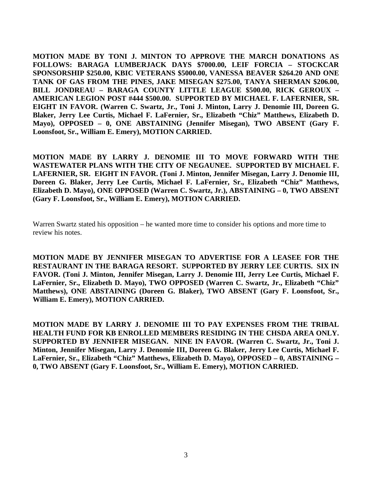**MOTION MADE BY TONI J. MINTON TO APPROVE THE MARCH DONATIONS AS FOLLOWS: BARAGA LUMBERJACK DAYS \$7000.00, LEIF FORCIA – STOCKCAR SPONSORSHIP \$250.00, KBIC VETERANS \$5000.00, VANESSA BEAVER \$264.20 AND ONE TANK OF GAS FROM THE PINES, JAKE MISEGAN \$275.00, TANYA SHERMAN \$206.00, BILL JONDREAU – BARAGA COUNTY LITTLE LEAGUE \$500.00, RICK GEROUX – AMERICAN LEGION POST #444 \$500.00. SUPPORTED BY MICHAEL F. LAFERNIER, SR. EIGHT IN FAVOR. (Warren C. Swartz, Jr., Toni J. Minton, Larry J. Denomie III, Doreen G. Blaker, Jerry Lee Curtis, Michael F. LaFernier, Sr., Elizabeth "Chiz" Matthews, Elizabeth D. Mayo), OPPOSED – 0, ONE ABSTAINING (Jennifer Misegan), TWO ABSENT (Gary F. Loonsfoot, Sr., William E. Emery), MOTION CARRIED.**

**MOTION MADE BY LARRY J. DENOMIE III TO MOVE FORWARD WITH THE WASTEWATER PLANS WITH THE CITY OF NEGAUNEE. SUPPORTED BY MICHAEL F. LAFERNIER, SR. EIGHT IN FAVOR. (Toni J. Minton, Jennifer Misegan, Larry J. Denomie III, Doreen G. Blaker, Jerry Lee Curtis, Michael F. LaFernier, Sr., Elizabeth "Chiz" Matthews, Elizabeth D. Mayo), ONE OPPOSED (Warren C. Swartz, Jr.), ABSTAINING – 0, TWO ABSENT (Gary F. Loonsfoot, Sr., William E. Emery), MOTION CARRIED.**

Warren Swartz stated his opposition – he wanted more time to consider his options and more time to review his notes.

**MOTION MADE BY JENNIFER MISEGAN TO ADVERTISE FOR A LEASEE FOR THE RESTAURANT IN THE BARAGA RESORT. SUPPORTED BY JERRY LEE CURTIS. SIX IN FAVOR. (Toni J. Minton, Jennifer Misegan, Larry J. Denomie III, Jerry Lee Curtis, Michael F. LaFernier, Sr., Elizabeth D. Mayo), TWO OPPOSED (Warren C. Swartz, Jr., Elizabeth "Chiz" Matthews), ONE ABSTAINING (Doreen G. Blaker), TWO ABSENT (Gary F. Loonsfoot, Sr., William E. Emery), MOTION CARRIED.**

**MOTION MADE BY LARRY J. DENOMIE III TO PAY EXPENSES FROM THE TRIBAL HEALTH FUND FOR KB ENROLLED MEMBERS RESIDING IN THE CHSDA AREA ONLY. SUPPORTED BY JENNIFER MISEGAN. NINE IN FAVOR. (Warren C. Swartz, Jr., Toni J. Minton, Jennifer Misegan, Larry J. Denomie III, Doreen G. Blaker, Jerry Lee Curtis, Michael F. LaFernier, Sr., Elizabeth "Chiz" Matthews, Elizabeth D. Mayo), OPPOSED – 0, ABSTAINING – 0, TWO ABSENT (Gary F. Loonsfoot, Sr., William E. Emery), MOTION CARRIED.**